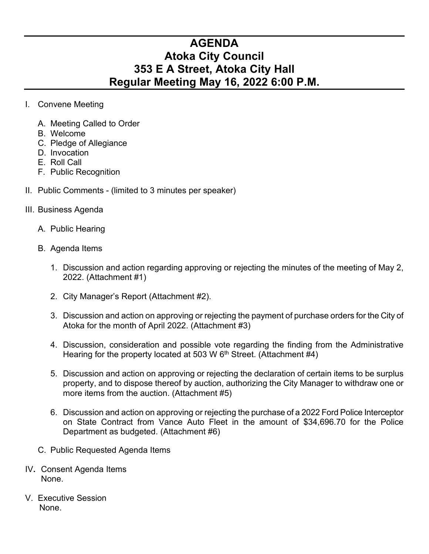## **AGENDA Atoka City Council 353 E A Street, Atoka City Hall Regular Meeting May 16, 2022 6:00 P.M.**

- I. Convene Meeting
	- A. Meeting Called to Order
	- B. Welcome
	- C. Pledge of Allegiance
	- D. Invocation
	- E. Roll Call
	- F. Public Recognition
- II. Public Comments (limited to 3 minutes per speaker)
- III. Business Agenda
	- A. Public Hearing
	- B. Agenda Items
		- 1. Discussion and action regarding approving or rejecting the minutes of the meeting of May 2, 2022. (Attachment #1)
		- 2. City Manager's Report (Attachment #2).
		- 3. Discussion and action on approving or rejecting the payment of purchase orders for the City of Atoka for the month of April 2022. (Attachment #3)
		- 4. Discussion, consideration and possible vote regarding the finding from the Administrative Hearing for the property located at 503 W 6<sup>th</sup> Street. (Attachment #4)
		- 5. Discussion and action on approving or rejecting the declaration of certain items to be surplus property, and to dispose thereof by auction, authorizing the City Manager to withdraw one or more items from the auction. (Attachment #5)
		- 6. Discussion and action on approving or rejecting the purchase of a 2022 Ford Police Interceptor on State Contract from Vance Auto Fleet in the amount of \$34,696.70 for the Police Department as budgeted. (Attachment #6)
	- C. Public Requested Agenda Items
- IV**.** Consent Agenda Items None.
- V. Executive Session None.